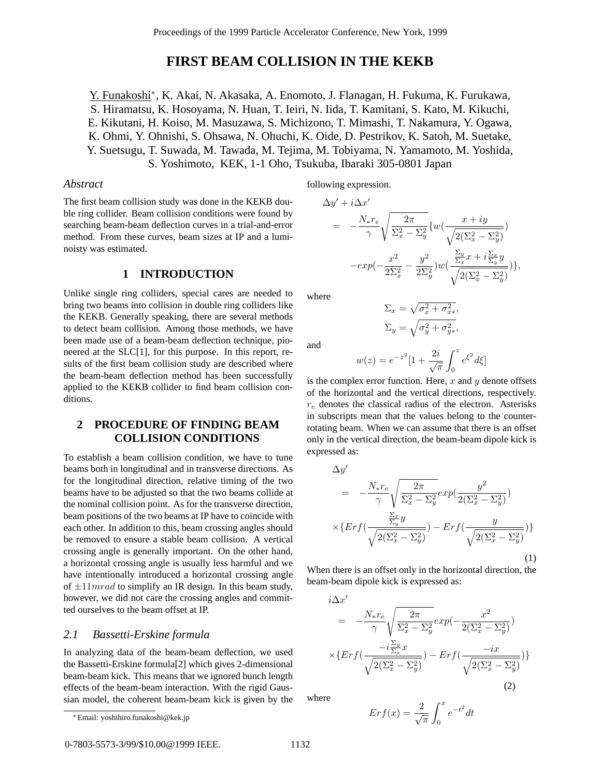# **FIRST BEAM COLLISION IN THE KEKB**

Y. Funakoshi∗, K. Akai, N. Akasaka, A. Enomoto, J. Flanagan, H. Fukuma, K. Furukawa, S. Hiramatsu, K. Hosoyama, N. Huan, T. Ieiri, N. Iida, T. Kamitani, S. Kato, M. Kikuchi, E. Kikutani, H. Koiso, M. Masuzawa, S. Michizono, T. Mimashi, T. Nakamura, Y. Ogawa, K. Ohmi, Y. Ohnishi, S. Ohsawa, N. Ohuchi, K. Oide, D. Pestrikov, K. Satoh, M. Suetake, Y. Suetsugu, T. Suwada, M. Tawada, M. Tejima, M. Tobiyama, N. Yamamoto, M. Yoshida, S. Yoshimoto, KEK, 1-1 Oho, Tsukuba, Ibaraki 305-0801 Japan

### *Abstract*

The first beam collision study was done in the KEKB double ring collider. Beam collision conditions were found by searching beam-beam deflection curves in a trial-and-error method. From these curves, beam sizes at IP and a luminoisty was estimated.

# **1 INTRODUCTION**

Unlike single ring colliders, special cares are needed to bring two beams into collision in double ring colliders like the KEKB. Generally speaking, there are several methods to detect beam collision. Among those methods, we have been made use of a beam-beam deflection technique, pioneered at the SLC[1], for this purpose. In this report, results of the first beam collision study are described where the beam-beam deflection method has been successfully applied to the KEKB collider to find beam collision conditions.

# **2 PROCEDURE OF FINDING BEAM COLLISION CONDITIONS**

To establish a beam collision condition, we have to tune beams both in longitudinal and in transverse directions. As for the longitudinal direction, relative timing of the two beams have to be adjusted so that the two beams collide at the nominal collision point. As for the transverse direction, beam positions of the two beams at IP have to coincide with each other. In addition to this, beam crossing angles should be removed to ensure a stable beam collision. A vertical crossing angle is generally important. On the other hand, a horizontal crossing angle is usually less harmful and we have intentionally introduced a horizontal crossing angle of  $\pm 11 mrad$  to simplify an IR design. In this beam study, however, we did not care the crossing angles and committed ourselves to the beam offset at IP.

### *2.1 Bassetti-Erskine formula*

In analyzing data of the beam-beam deflection, we used the Bassetti-Erskine formula[2] which gives 2-dimensional beam-beam kick. This means that we ignored bunch length effects of the beam-beam interaction. With the rigid Gaussian model, the coherent beam-beam kick is given by the following expression.

$$
\Delta y' + i \Delta x'
$$
  
=  $-\frac{N_* r_e}{\gamma} \sqrt{\frac{2\pi}{\Sigma_x^2 - \Sigma_y^2}} \{w(\frac{x + iy}{\sqrt{2(\Sigma_x^2 - \Sigma_y^2)}})$   
 $-exp(-\frac{x^2}{2\Sigma_x^2} - \frac{y^2}{2\Sigma_y^2})w(\frac{\frac{\Sigma_y}{\Sigma_x}x + i\frac{\Sigma_x}{\Sigma_y}y}{\sqrt{2(\Sigma_x^2 - \Sigma_y^2)}})\},$ 

where

$$
\Sigma_x = \sqrt{\sigma_x^2 + \sigma_{x*}^2},
$$

$$
\Sigma_y = \sqrt{\sigma_y^2 + \sigma_{y*}^2},
$$

and

∆y<sup>0</sup>

$$
w(z) = e^{-z^2} [1 + \frac{2i}{\sqrt{\pi}} \int_0^z e^{\xi^2} d\xi]
$$

is the complex error function. Here,  $x$  and  $y$  denote offsets of the horizontal and the vertical directions, respectively.  $r_e$  denotes the classical radius of the electron. Asterisks in subscripts mean that the values belong to the counterrotating beam. When we can assume that there is an offset only in the vertical direction, the beam-beam dipole kick is expressed as:

$$
\Delta y' = -\frac{N_* r_e}{\gamma} \sqrt{\frac{2\pi}{\Sigma_x^2 - \Sigma_y^2}} exp(\frac{y^2}{2(\Sigma_x^2 - \Sigma_y^2)})
$$

$$
\times \{ Erf(\frac{\frac{\Sigma_x}{\Sigma_y} y}{\sqrt{2(\Sigma_x^2 - \Sigma_y^2)}}) - Erf(\frac{y}{\sqrt{2(\Sigma_x^2 - \Sigma_y^2)}})\}
$$
(1)

When there is an offset only in the horizontal direction, the beam-beam dipole kick is expressed as:

$$
i\Delta x'
$$
\n
$$
= -\frac{N_{*}r_{e}}{\gamma} \sqrt{\frac{2\pi}{\Sigma_{x}^{2} - \Sigma_{y}^{2}}} exp(-\frac{x^{2}}{2(\Sigma_{x}^{2} - \Sigma_{y}^{2})})
$$
\n
$$
\times \{ Erf(\frac{-i\frac{\Sigma_{y}}{\Sigma_{x}}x}{\sqrt{2(\Sigma_{x}^{2} - \Sigma_{y}^{2})}}) - Erf(\frac{-ix}{\sqrt{2(\Sigma_{x}^{2} - \Sigma_{y}^{2})}})
$$
\n(2)

where

$$
Erf(x) = \frac{2}{\sqrt{\pi}} \int_0^x e^{-t^2} dt
$$

0-7803-5573-3/99/\$10.00@1999 IEEE. 1132

<sup>∗</sup> Email: yoshihiro.funakoshi@kek.jp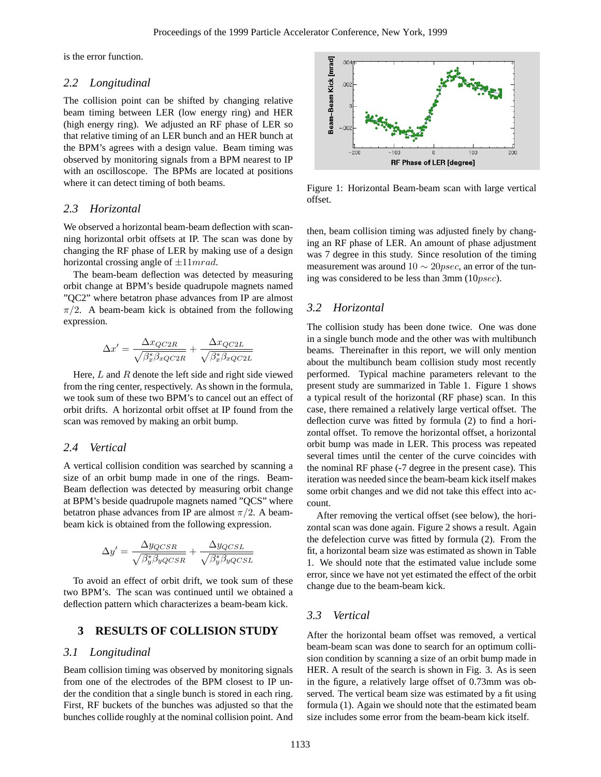is the error function.

### *2.2 Longitudinal*

The collision point can be shifted by changing relative beam timing between LER (low energy ring) and HER (high energy ring). We adjusted an RF phase of LER so that relative timing of an LER bunch and an HER bunch at the BPM's agrees with a design value. Beam timing was observed by monitoring signals from a BPM nearest to IP with an oscilloscope. The BPMs are located at positions where it can detect timing of both beams.

### *2.3 Horizontal*

We observed a horizontal beam-beam deflection with scanning horizontal orbit offsets at IP. The scan was done by changing the RF phase of LER by making use of a design horizontal crossing angle of  $\pm 11 mrad$ .

The beam-beam deflection was detected by measuring orbit change at BPM's beside quadrupole magnets named "QC2" where betatron phase advances from IP are almost  $\pi/2$ . A beam-beam kick is obtained from the following expression.

$$
\Delta x' = \frac{\Delta x_{QC2R}}{\sqrt{\beta_x^* \beta_{xQC2R}}} + \frac{\Delta x_{QC2L}}{\sqrt{\beta_x^* \beta_{xQC2L}}}
$$

Here,  $L$  and  $R$  denote the left side and right side viewed from the ring center, respectively. As shown in the formula, we took sum of these two BPM's to cancel out an effect of orbit drifts. A horizontal orbit offset at IP found from the scan was removed by making an orbit bump.

#### *2.4 Vertical*

A vertical collision condition was searched by scanning a size of an orbit bump made in one of the rings. Beam-Beam deflection was detected by measuring orbit change at BPM's beside quadrupole magnets named "QCS" where betatron phase advances from IP are almost  $\pi/2$ . A beambeam kick is obtained from the following expression.

$$
\Delta y' = \frac{\Delta y_{QCSR}}{\sqrt{\beta_y^* \beta_{yQCSR}}} + \frac{\Delta y_{QCSL}}{\sqrt{\beta_y^* \beta_{yQCSL}}}
$$

To avoid an effect of orbit drift, we took sum of these two BPM's. The scan was continued until we obtained a deflection pattern which characterizes a beam-beam kick.

# **3 RESULTS OF COLLISION STUDY**

#### *3.1 Longitudinal*

Beam collision timing was observed by monitoring signals from one of the electrodes of the BPM closest to IP under the condition that a single bunch is stored in each ring. First, RF buckets of the bunches was adjusted so that the bunches collide roughly at the nominal collision point. And



Figure 1: Horizontal Beam-beam scan with large vertical offset.

then, beam collision timing was adjusted finely by changing an RF phase of LER. An amount of phase adjustment was 7 degree in this study. Since resolution of the timing measurement was around  $10 \sim 20$ *psec*, an error of the tuning was considered to be less than 3mm (10psec).

### *3.2 Horizontal*

The collision study has been done twice. One was done in a single bunch mode and the other was with multibunch beams. Thereinafter in this report, we will only mention about the multibunch beam collision study most recently performed. Typical machine parameters relevant to the present study are summarized in Table 1. Figure 1 shows a typical result of the horizontal (RF phase) scan. In this case, there remained a relatively large vertical offset. The deflection curve was fitted by formula (2) to find a horizontal offset. To remove the horizontal offset, a horizontal orbit bump was made in LER. This process was repeated several times until the center of the curve coincides with the nominal RF phase (-7 degree in the present case). This iteration was needed since the beam-beam kick itself makes some orbit changes and we did not take this effect into account.

After removing the vertical offset (see below), the horizontal scan was done again. Figure 2 shows a result. Again the defelection curve was fitted by formula (2). From the fit, a horizontal beam size was estimated as shown in Table 1. We should note that the estimated value include some error, since we have not yet estimated the effect of the orbit change due to the beam-beam kick.

### *3.3 Vertical*

After the horizontal beam offset was removed, a vertical beam-beam scan was done to search for an optimum collision condition by scanning a size of an orbit bump made in HER. A result of the search is shown in Fig. 3. As is seen in the figure, a relatively large offset of 0.73mm was observed. The vertical beam size was estimated by a fit using formula (1). Again we should note that the estimated beam size includes some error from the beam-beam kick itself.